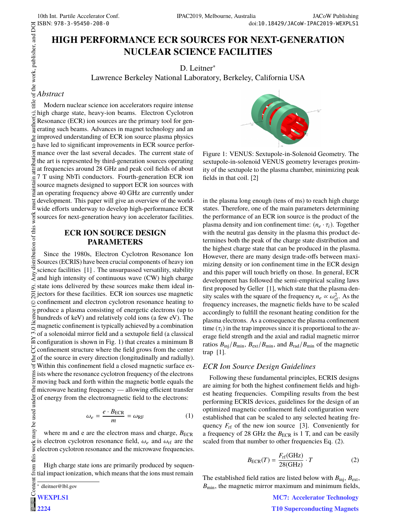# **HIGH PERFORMANCE ECR SOURCES FOR NEXT-GENERATION NUCLEAR SCIENCE FACILITIES**

D. Leitner<sup>∗</sup>

Lawrence Berkeley National Laboratory, Berkeley, California USA

## *Abstract*

 $\circ$  2019). Any distribution of this work must maintain attribution to the author(s), title of the work, publisher, and DOI c  $\sim$  c  $\sim$  s  $\sim$  c  $\sim$  s  $\sim$  c  $\sim$  s  $\sim$  c  $\sim$  c  $\sim$  c  $\sim$  c  $\sim$  c  $\sim$  c  $\sim$  c  $\sim$ Modern nuclear science ion accelerators require intense  $\tilde{s}$ high charge state, heavy-ion beams. Electron Cyclotron  $\overline{C}$ Resonance (ECR) ion sources are the primary tool for generating such beams. Advances in magnet technology and an improved understanding of ECR ion source plasma physics have led to significant improvements in ECR source performance over the last several decades. The current state of the art is represented by third-generation sources operating  $\frac{1}{32}$  at frequencies around 28 GHz and peak coil fields of about 7 T using NbTi conductors. Fourth-generation ECR ion maintain source magnets designed to support ECR ion sources with an operating frequency above 40 GHz are currently under development. This paper will give an overview of the world- $\overline{a}$ wide efforts underway to develop high-performance ECR work sources for next-generation heavy ion accelerator facilities.

# **ECR ION SOURCE DESIGN PARAMETERS**

distribution of this Since the 1980s, Electron Cyclotron Resonance Ion Sources (ECRIS) have been crucial components of heavy ion science facilities [1] . The unsurpassed versatility, stability Any. and high intensity of continuous wave (CW) high charge  $\vec{\infty}$  state ions delivered by these sources make them ideal in- $\overline{S}$  jectors for these facilities. ECR ion sources use magnetic confinement and electron cyclotron resonance heating to ©Content from this work may be used under the terms of the CC BY 3.0 licence ( $\epsilon$ produce a plasma consisting of energetic electrons (up to hundreds of keV) and relatively cold ions (a few eV). The magnetic confinement is typically achieved by a combination  $\sum_{n=0}^{\infty}$  magnetic confinement is typically activated by a comomorphic of a solenoidal mirror field and a sextupole field (a classical  $\approx$  configuration is shown in Fig. 1) that creates a minimum B  $\gamma$  confinement structure where the field grows from the center  $\frac{9}{2}$  of the source in every direction (longitudinally and radially). Within this confinement field a closed magnetic surface ex- $\ddot{\mathbf{\epsilon}}$  ists where the resonance cyclotron frequency of the electrons  $\frac{1}{2}$  moving back and forth within the magnetic bottle equals the microwave heating frequency — allowing efficient transfer be used under of energy from the electromagnetic field to the electrons:

$$
\omega_e = \frac{e \cdot B_{\text{ECR}}}{m} = \omega_{\text{RF}} \tag{1}
$$

from this work may where m and e are the electron mass and charge,  $B_{\text{ECR}}$ is electron cyclotron resonance field,  $\omega_e$  and  $\omega_{\text{rf}}$  are the electron cyclotron resonance and the microwave frequencies.

High charge state ions are primarily produced by sequential impact ionization, which means that the ions must remain

**2224**



Figure 1: VENUS: Sextupole-in-Solenoid Geometry. The sextupole-in-solenoid VENUS geometry leverages proximity of the sextupole to the plasma chamber, minimizing peak fields in that coil. [2]

in the plasma long enough (tens of ms) to reach high charge states. Therefore, one of the main parameters determining the performance of an ECR ion source is the product of the plasma density and ion confinement time:  $(n_e \cdot \tau_i)$ . Together with the neutral gas density in the plasma this product determines both the peak of the charge state distribution and the highest charge state that can be produced in the plasma. However, there are many design trade-offs between maximizing density or ion confinement time in the ECR design and this paper will touch briefly on those. In general, ECR development has followed the semi-empirical scaling laws first proposed by Geller [1], which state that the plasma density scales with the square of the frequency  $n_e \propto \omega_{\text{rf}}^2$ . As the frequency increases the magnetic fields have to be scaled frequency increases, the magnetic fields have to be scaled accordingly to fulfill the resonant heating condition for the plasma electrons. As a consequence the plasma confinement time  $(\tau_i)$  in the trap improves since it is proportional to the average field strength and the axial and radial magnetic mirror ratios  $B_{\text{inj}}/B_{\text{min}}$ ,  $B_{\text{ext}}/B_{\text{min}}$ , and  $B_{\text{rad}}/B_{\text{min}}$  of the magnetic trap [1].

### *ECR Ion Source Design Guidelines*

Following these fundamental principles, ECRIS designs are aiming for both the highest confinement fields and highest heating frequencies. Compiling results from the best performing ECRIS devices, guidelines for the design of an optimized magnetic confinement field configuration were established that can be scaled to any selected heating frequency  $F_{\text{rf}}$  of the new ion source [3]. Conveniently for a frequency of 28 GHz the  $B_{\text{ECR}}$  is 1 T, and can be easily scaled from that number to other frequencies Eq. (2).

$$
B_{\text{ECR}}(T) = \frac{F_{\text{rf}}(\text{GHz})}{28(\text{GHz})} \cdot T \tag{2}
$$

The established field ratios are listed below with  $B_{\text{inj}}$ ,  $B_{\text{ext}}$ ,  $B_{\text{min}}$ , the magnetic mirror maximum and minimum fields,

> **MC7: Accelerator Technology T10 Superconducting Magnets**

<sup>∗</sup> dleitner@lbl.gov

Conten **WEXPLS1**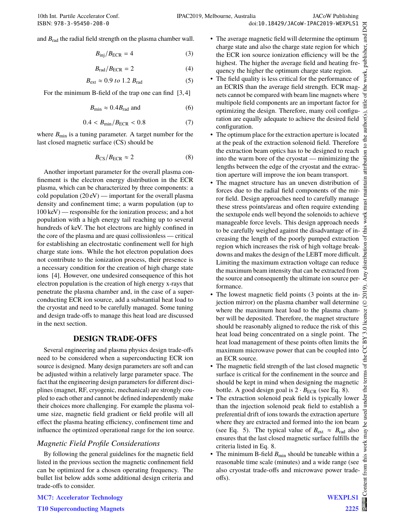and *B*rad the radial field strength on the plasma chamber wall.

$$
B_{\rm inj}/B_{\rm ECR} = 4 \tag{3}
$$

$$
B_{\rm rad}/B_{\rm ECR} = 2 \tag{4}
$$

$$
B_{\text{ext}} \approx 0.9 \text{ to } 1.2 B_{\text{rad}} \tag{5}
$$

For the minimum B-field of the trap one can find [3,4]

$$
B_{\min} \approx 0.4 B_{\text{rad}} \text{ and } \tag{6}
$$

$$
0.4 < B_{\min}/B_{\text{ECR}} < 0.8 \tag{7}
$$

where  $B_{\text{min}}$  is a tuning parameter. A target number for the last closed magnetic surface (CS) should be

$$
B_{\rm CS}/B_{\rm ECR} \approx 2 \tag{8}
$$

Another important parameter for the overall plasma confinement is the electron energy distribution in the ECR plasma, which can be characterized by three components: a cold population  $(20 \text{ eV})$  — important for the overall plasma density and confinement time; a warm population (up to 100 keV) — responsible for the ionization process; and a hot population with a high energy tail reaching up to several hundreds of keV. The hot electrons are highly confined in the core of the plasma and are quasi collissionless — critical for establishing an electrostatic confinement well for high charge state ions. While the hot electron population does not contribute to the ionization process, their presence is a necessary condition for the creation of high charge state ions [4]. However, one undesired consequence of this hot electron population is the creation of high energy x-rays that penetrate the plasma chamber and, in the case of a superconducting ECR ion source, add a substantial heat load to the cryostat and need to be carefully managed. Some tuning and design trade-offs to manage this heat load are discussed in the next section.

### **DESIGN TRADE-OFFS**

Several engineering and plasma physics design trade-offs need to be considered when a superconducting ECR ion source is designed. Many design parameters are soft and can be adjusted within a relatively large parameter space. The fact that the engineering design parameters for different disciplines (magnet, RF, cryogenic, mechanical) are strongly coupled to each other and cannot be defined independently make their choices more challenging. For example the plasma volume size, magnetic field gradient or field profile will all effect the plasma heating efficiency, confinement time and influence the optimized operational range for the ion source.

### *Magnetic Field Profile Considerations*

By following the general guidelines for the magnetic field listed in the previous section the magnetic confinement field can be optimized for a chosen operating frequency. The bullet list below adds some additional design criteria and trade-offs to consider.

- The average magnetic field will determine the optimum charge state and also the charge state region for which the ECR ion source ionization efficiency will be the highest. The higher the average field and heating frequency the higher the optimum charge state region.
- The field quality is less critical for the performance of an ECRIS than the average field strength. ECR magnets cannot be compared with beam line magnets where multipole field components are an important factor for optimizing the design. Therefore, many coil configuration are equally adequate to achieve the desired field configuration.
- The optimum place for the extraction aperture is located at the peak of the extraction solenoid field. Therefore the extraction beam optics has to be designed to reach into the warm bore of the cryostat — minimizing the lengths between the edge of the cryostat and the extraction aperture will improve the ion beam transport.
- The magnet structure has an uneven distribution of forces due to the radial field components of the mirror field. Design approaches need to carefully manage these stress points/areas and often require extending the sextupole ends well beyond the solenoids to achieve manageable force levels. This design approach needs to be carefully weighed against the disadvantage of increasing the length of the poorly pumped extraction region which increases the risk of high voltage breakdowns and makes the design of the LEBT more difficult. Limiting the maximum extraction voltage can reduce the maximum beam intensity that can be extracted from the source and consequently the ultimate ion source performance.
- The lowest magnetic field points (3 points at the injection mirror) on the plasma chamber wall determine where the maximum heat load to the plasma chamber will be deposited. Therefore, the magnet structure should be reasonably aligned to reduce the risk of this heat load being concentrated on a single point. The heat load management of these points often limits the maximum microwave power that can be coupled into an ECR source.
- The magnetic field strength of the last closed magnetic surface is critical for the confinement in the source and should be kept in mind when designing the magnetic bottle. A good design goal is  $2 \cdot B_{\text{ECR}}$  (see Eq. 8).
- The extraction solenoid peak field is typically lower than the injection solenoid peak field to establish a preferential drift of ions towards the extraction aperture where they are extracted and formed into the ion beam (see Eq. 5). The typical value of  $B_{ext} \approx B_{rad}$  also ensures that the last closed magnetic surface fulfills the criteria listed in Eq. 8.
- The minimum B-field  $B_{\text{min}}$  should be tuneable within a reasonable time scale (minutes) and a wide range (see also cryostat trade-offs and microwave power tradeoffs).

**MC7: Accelerator Technology**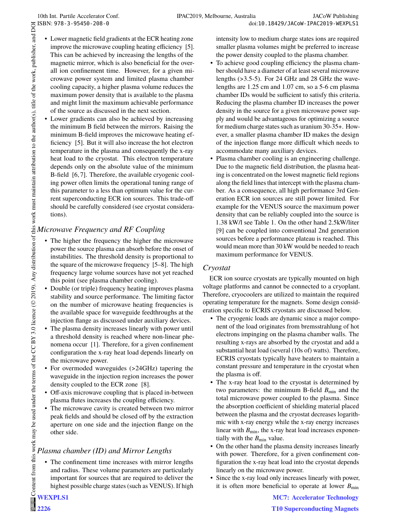- Lower magnetic field gradients at the ECR heating zone improve the microwave coupling heating efficiency [5]. This can be achieved by increasing the lengths of the magnetic mirror, which is also beneficial for the overall ion confinement time. However, for a given microwave power system and limited plasma chamber cooling capacity, a higher plasma volume reduces the maximum power density that is available to the plasma and might limit the maximum achievable performance of the source as discussed in the next section.  $\circledcirc$  2019). Any distribution of this work must maintain attribution to the author(s), title of the work, publisher, and DOI
	- Lower gradients can also be achieved by increasing the minimum B field between the mirrors. Raising the minimum B-field improves the microwave heating efficiency [5]. But it will also increase the hot electron temperature in the plasma and consequently the x-ray heat load to the cryostat. This electron temperature depends only on the absolute value of the minimum B-field [6, 7]. Therefore, the available cryogenic cooling power often limits the operational tuning range of this parameter to a less than optimum value for the current superconducting ECR ion sources. This trade-off should be carefully considered (see cryostat considerations).

# *Microwave Frequency and RF Coupling*

- The higher the frequency the higher the microwave power the source plasma can absorb before the onset of instabilities. The threshold density is proportional to the square of the microwave frequency [5–8]. The high frequency large volume sources have not yet reached this point (see plasma chamber cooling).
- Double (or triple) frequency heating improves plasma stability and source performance. The limiting factor on the number of microwave heating frequencies is the available space for waveguide feedthroughs at the injection flange as discussed under auxiliary devices.
- The plasma density increases linearly with power until a threshold density is reached where non-linear phenomena occur [1]. Therefore, for a given confinement configuration the x-ray heat load depends linearly on the microwave power.
- For overmoded waveguides (>24GHz) tapering the waveguide in the injection region increases the power density coupled to the ECR zone [8].
- Off-axis microwave coupling that is placed in-between plasma flutes increases the coupling efficiency.
- The microwave cavity is created between two mirror peak fields and should be closed off by the extraction aperture on one side and the injection flange on the other side.

# *Plasma chamber (ID) and Mirror Lengths*

• The confinement time increases with mirror lengths and radius. These volume parameters are particularly important for sources that are required to deliver the highest possible charge states (such as VENUS). If high

**WEXPLS1** Content from this work may be used under the terms of the CC BY 3.0 licence ( $\epsilon$ 

**2226 @** 2 Content from this work may be used under the terms of the CC BY 3.0 licence (© 2019). Any distribution of this work must maintain attribution to the author(s), title of the work, publisher, and DOI

intensity low to medium charge states ions are required smaller plasma volumes might be preferred to increase the power density coupled to the plasma chamber.

- To achieve good coupling efficiency the plasma chamber should have a diameter of at least several microwave lengths (>3.5-5). For 24 GHz and 28 GHz the wavelengths are 1.25 cm and 1.07 cm, so a 5-6 cm plasma chamber IDs would be sufficient to satisfy this criteria. Reducing the plasma chamber ID increases the power density in the source for a given microwave power supply and would be advantageous for optimizing a source for medium charge states such as uranium 30-35+. However, a smaller plasma chamber ID makes the design of the injection flange more difficult which needs to accommodate many auxiliary devices.
- Plasma chamber cooling is an engineering challenge. Due to the magnetic field distribution, the plasma heating is concentrated on the lowest magnetic field regions along the field lines that intercept with the plasma chamber. As a consequence, all high performance 3rd Generation ECR ion sources are still power limited. For example for the VENUS source the maximum power density that can be reliably coupled into the source is 1.38 kW/l see Table 1. On the other hand 2.5kW/liter [9] can be coupled into conventional 2nd generation sources before a performance plateau is reached. This would mean more than 30 kW would be needed to reach maximum performance for VENUS.

# *Cryostat*

ECR ion source cryostats are typically mounted on high voltage platforms and cannot be connected to a cryoplant. Therefore, cryocoolers are utilized to maintain the required operating temperature for the magnets. Some design consideration specific to ECRIS cryostats are discussed below.

- The cryogenic loads are dynamic since a major component of the load originates from bremsstrahlung of hot electrons impinging on the plasma chamber walls. The resulting x-rays are absorbed by the cryostat and add a substantial heat load (several (10s of) watts). Therefore, ECRIS cryostats typically have heaters to maintain a constant pressure and temperature in the cryostat when the plasma is off.
- The x-ray heat load to the cryostat is determined by two parameters: the minimum B-field  $B_{\text{min}}$  and the total microwave power coupled to the plasma. Since the absorption coefficient of shielding material placed between the plasma and the cryostat decreases logarithmic with x-ray energy while the x-ray energy increases linear with  $B_{\text{min}}$ , the x-ray heat load increases exponentially with the  $B_{\text{min}}$  value.
- On the other hand the plasma density increases linearly with power. Therefore, for a given confinement configuration the x-ray heat load into the cryostat depends linearly on the microwave power.
- Since the x-ray load only increases linearly with power, it is often more beneficial to operate at lower  $B_{\text{min}}$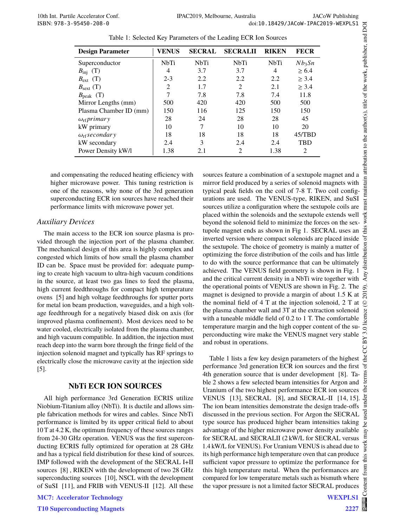| <b>Design Parameter</b>     | <b>VENUS</b> | <b>SECRAL</b> | <b>SECRALII</b>             | <b>RIKEN</b> | <b>FECR</b> |
|-----------------------------|--------------|---------------|-----------------------------|--------------|-------------|
|                             |              |               |                             |              |             |
| Superconductor              | <b>NbTi</b>  | <b>NbTi</b>   | <b>NbTi</b>                 | <b>NbTi</b>  | $Nb_3Sn$    |
| $B_{\text{inj}}$ (T)        | 4            | 3.7           | 3.7                         | 4            | > 6.4       |
| $B_{\text{ext}}$ (T)        | $2 - 3$      | 2.2           | 2.2                         | 2.2          | > 3.4       |
| $B_{\text{sext}}$ (T)       | 2            | 1.7           | $\mathcal{D}_{\mathcal{L}}$ | 2.1          | > 3.4       |
| $B_{\text{peak}}$ (T)       |              | 7.8           | 7.8                         | 7.4          | 11.8        |
| Mirror Lengths (mm)         | 500          | 420           | 420                         | 500          | 500         |
| Plasma Chamber ID (mm)      | 150          | 116           | 125                         | 150          | 150         |
| $\omega_{\rm rf}$ primary   | 28           | 24            | 28                          | 28           | 45          |
| kW primary                  | 10           | 7             | 10                          | 10           | 20          |
| $\omega_{\rm rf}$ secondary | 18           | 18            | 18                          | 18           | 45/TBD      |
| kW secondary                | 2.4          | 3             | 2.4                         | 2.4          | <b>TBD</b>  |
| Power Density kW/l          | 1.38         | 2.1           | 2                           | 1.38         | 2           |

Table 1: Selected Key Parameters of the Leading ECR Ion Sources

and compensating the reduced heating efficiency with higher microwave power. This tuning restriction is one of the reasons, why none of the 3rd generation superconducting ECR ion sources have reached their performance limits with microwave power yet.

### *Auxiliary Devices*

The main access to the ECR ion source plasma is provided through the injection port of the plasma chamber. The mechanical design of this area is highly complex and congested which limits of how small the plasma chamber ID can be. Space must be provided for: adequate pumping to create high vacuum to ultra-high vacuum conditions in the source, at least two gas lines to feed the plasma, high current feedthroughs for compact high temperature ovens [5] and high voltage feedthroughs for sputter ports for metal ion beam production, waveguides, and a high voltage feedthrough for a negatively biased disk on axis (for improved plasma confinement). Most devices need to be water cooled, electrically isolated from the plasma chamber, and high vacuum compatible. In addition, the injection must reach deep into the warm bore through the fringe field of the injection solenoid magnet and typically has RF springs to electrically close the microwave cavity at the injection side [5].

### **NbTi ECR ION SOURCES**

All high performance 3rd Generation ECRIS utilize Niobium-Titanium alloy (NbTi). It is ductile and allows simple fabrication methods for wires and cables. Since NbTi performance is limited by its upper critical field to about 10 T at 4.2 K, the optimum frequency of these sources ranges from 24-30 GHz operation. VENUS was the first superconducting ECRIS fully optimized for operation at 28 GHz and has a typical field distribution for these kind of sources. IMP followed with the development of the SECRAL I+II sources [8] , RIKEN with the development of two 28 GHz superconducting sources [10], NSCL with the development of SuSI [11], and FRIB with VENUS-II [12]. All these

**MC7: Accelerator Technology**

**T10 Superconducting Magnets**

sources feature a combination of a sextupole magnet and a mirror field produced by a series of solenoid magnets with typical peak fields on the coil of 7-8 T. Two coil configurations are used. The VENUS-type, RIKEN, and SuSI sources utilize a configuration where the sextupole coils are placed within the solenoids and the sextupole extends well beyond the solenoid field to minimize the forces on the sextupole magnet ends as shown in Fig 1. SECRAL uses an inverted version where compact solenoids are placed inside the sextupole. The choice of geometry is mainly a matter of optimizing the force distribution of the coils and has little to do with the source performance that can be ultimately achieved. The VENUS field geometry is shown in Fig. 1 and the critical current density in a NbTi wire together with the operational points of VENUS are shown in Fig. 2. The magnet is designed to provide a margin of about 1.5 K at the nominal field of 4 T at the injection solenoid, 2 T at the plasma chamber wall and 3T at the extraction solenoid with a tuneable middle field of 0.2 to 1 T. The comfortable temperature margin and the high copper content of the superconducting wire make the VENUS magnet very stable and robust in operations.

Table 1 lists a few key design parameters of the highest performance 3rd generation ECR ion sources and the first 4th generation source that is under development [8]. Table 2 shows a few selected beam intensities for Argon and Uranium of the two highest performance ECR ion sources VENUS [13], SECRAL [8], and SECRAL-II [14, 15]. The ion beam intensities demonstrate the design trade-offs discussed in the previous section. For Argon the SECRAL type source has produced higher beam intensities taking advantage of the higher microwave power density available for SECRAL and SECRALII (2 kW/L for SECRAL versus 1.4 kW/L for VENUS). For Uranium VENUS is ahead due to its high performance high temperature oven that can produce sufficient vapor pressure to optimize the performance for this high temperature metal. When the performances are compared for low temperature metals such as bismuth where the vapor pressure is not a limited factor SECRAL produces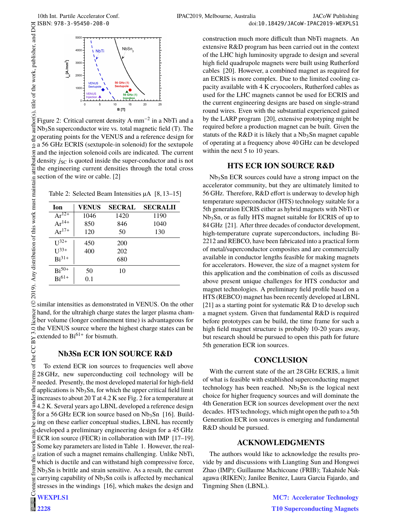author(s), title of the work, publisher, and DOI

ion attributi

2019). Any distribution of this work must maintain



Figure 2: Critical current density  $A{\cdot}mm^{-2}$  in a NbTi and a Nb3Sn superconductor wire vs. total magnetic field (T). The operating points for the VENUS and a reference design for a 56 GHz ECRIS (sextupole-in solenoid) for the sextupole and the injection solenoid coils are indicated. The current density *j*<sub>SC</sub> is quoted inside the super-conductor and is not the engineering current densities through the total cross section of the wire or cable. [2]  $\frac{1}{2019}$ ). Any distribution of this work must maintain attribution to the author(s), title of the work, publisher, and DOI

Table 2: Selected Beam Intensities µA [8, 13–15]

| <b>Ion</b> | <b>VENUS</b> | <b>SECRAL</b> | <b>SECRALII</b> |
|------------|--------------|---------------|-----------------|
| $Ar^{12+}$ | 1046         | 1420          | 1190            |
| $Ar^{14+}$ | 850          | 846           | 1040            |
| $Ar^{17+}$ | 120          | 50            | 130             |
| $U^{32+}$  | 450          | 200           |                 |
| $U^{33+}$  | 400          | 202           |                 |
| $Bi^{31+}$ |              | 680           |                 |
| $Bi^{50+}$ | 50           | 10            |                 |
| $Bi^{61+}$ | 0.1          |               |                 |

 $\mathcal Q$  similar intensities as demonstrated in VENUS. On the other  $\frac{8}{2}$  hand, for the ultrahigh charge states the larger plasma chamlice ber volume (longer confinement time) is advantageous for the VENUS source where the highest charge states can be extended to  $Bi^{61+}$  for bismuth.

### **Nb3Sn ECR ION SOURCE R&D**

Content from this work may be used under the terms of the CC BY 3.0 licence ( $\epsilon$ the terms of the CC BY 3.0 To extend ECR ion sources to frequencies well above 28 GHz, new superconducting coil technology will be needed. Presently, the most developed material for high-field applications is Nb3Sn, for which the upper critical field limit  $\frac{5}{5}$  increases to about 20 T at 4.2 K see Fig. 2 for a temperature at  $\frac{5}{5}$  4.2 K. Several years ago LBNL developed a reference design 4.2 K. Several years ago LBNL developed a reference design **ISEC** for a 56 GHz ECR ion source based on  $Nb<sub>3</sub>Sn$  [16]. Build- $\frac{1}{8}$  ing on these earlier conceptual studies, LBNL has recently  $\geq$  developed a preliminary engineering design for a 45 GHz<br>E ECR ion source (EECD) ECR ion source (FECR) in collaboration with IMP [17–19]. work Some key parameters are listed in Table 1. However, the realization of such a magnet remains challenging. Unlike NbTi,  $\frac{1}{2}$ which is ductile and can withstand high compressive force, from Nb3Sn is brittle and strain sensitive. As a result, the current carrying capability of  $Nb<sub>3</sub>Sn$  coils is affected by mechanical Content stresses in the windings [16], which makes the design and

**WEXPLS1**

**2228**

construction much more difficult than NbTi magnets. An extensive R&D program has been carried out in the context of the LHC high luminosity upgrade to design and several high field quadrupole magnets were built using Rutherford cables [20]. However, a combined magnet as required for an ECRIS is more complex. Due to the limited cooling capacity available with 4 K cryocoolers, Rutherford cables as used for the LHC magnets cannot be used for ECRIS and the current engineering designs are based on single-strand round wires. Even with the substantial experienced gained by the LARP program [20], extensive prototyping might be required before a production magnet can be built. Given the statuts of the R&D it is likely that a  $Nb<sub>3</sub>Sn$  magnet capable of operating at a frequency above 40 GHz can be developed within the next 5 to 10 years.

## **HTS ECR ION SOURCE R&D**

Nb3Sn ECR sources could have a strong impact on the accelerator community, but they are ultimately limited to 56 GHz. Therefore, R&D effort is underway to develop high temperature superconductor (HTS) technology suitable for a 5th generation ECRIS either as hybrid magnets with NbTi or Nb3Sn, or as fully HTS magnet suitable for ECRIS of up to 84 GHz [21]. After three decades of conductor development, high-temperature cuprate superconductors, including Bi-2212 and REBCO, have been fabricated into a practical form of metal/superconductor composites and are commercially available in conductor lengths feasible for making magnets for accelerators. However, the size of a magnet system for this application and the combination of coils as discussed above present unique challenges for HTS conductor and magnet technologies. A preliminary field profile based on a HTS (REBCO) magnet has been recently developed at LBNL [21] as a starting point for systematic  $R&D$  to develop such a magnet system. Given that fundamental R&D is required before prototypes can be build, the time frame for such a high field magnet structure is probably 10-20 years away, but research should be pursued to open this path for future 5th generation ECR ion sources.

### **CONCLUSION**

With the current state of the art 28 GHz ECRIS, a limit of what is feasible with established superconducting magnet technology has been reached.  $Nb<sub>3</sub>Sn$  is the logical next choice for higher frequency sources and will dominate the 4th Generation ECR ion sources development over the next decades. HTS technology, which might open the path to a 5th Generation ECR ion sources is emerging and fundamental R&D should be pursued.

### **ACKNOWLEDGMENTS**

The authors would like to acknowledge the results provide by and discussions with Liangting Sun and Hongwei Zhao (IMP); Guillaume Machicoane (FRIB); Takahide Nakagawa (RIKEN); Janilee Benitez, Laura Garcia Fajardo, and Tingming Shen (LBNL).

> **MC7: Accelerator Technology T10 Superconducting Magnets**